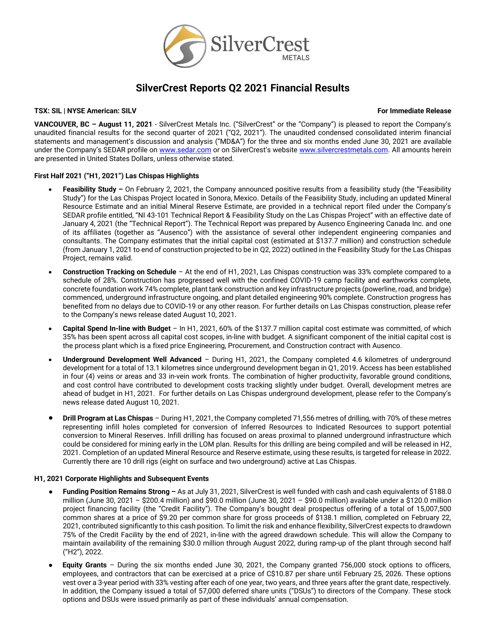

# **SilverCrest Reports Q2 2021 Financial Results**

# **TSX: SIL | NYSE American: SILV For Immediate Release**

**VANCOUVER, BC – August 11, 2021** - SilverCrest Metals Inc. ("SilverCrest" or the "Company") is pleased to report the Company's unaudited financial results for the second quarter of 2021 ("Q2, 2021"). The unaudited condensed consolidated interim financial statements and management's discussion and analysis ("MD&A") for the three and six months ended June 30, 2021 are available under the Company's SEDAR profile on [www.sedar.com](http://www.sedar.com/) or on SilverCrest's website [www.silvercrestmetals.com.](http://www.silvercrestmetals.com/) All amounts herein are presented in United States Dollars, unless otherwise stated.

# **First Half 2021 ("H1, 2021") Las Chispas Highlights**

- **Feasibility Study –** On February 2, 2021, the Company announced positive results from a feasibility study (the "Feasibility Study") for the Las Chispas Project located in Sonora, Mexico. Details of the Feasibility Study, including an updated Mineral Resource Estimate and an initial Mineral Reserve Estimate, are provided in a technical report filed under the Company's SEDAR profile entitled, "NI 43-101 Technical Report & Feasibility Study on the Las Chispas Project" with an effective date of January 4, 2021 (the "Technical Report"). The Technical Report was prepared by Ausenco Engineering Canada Inc. and one of its affiliates (together as "Ausenco") with the assistance of several other independent engineering companies and consultants. The Company estimates that the initial capital cost (estimated at \$137.7 million) and construction schedule (from January 1, 2021 to end of construction projected to be in Q2, 2022) outlined in the Feasibility Study for the Las Chispas Project, remains valid.
- **Construction Tracking on Schedule** At the end of H1, 2021, Las Chispas construction was 33% complete compared to a schedule of 28%. Construction has progressed well with the confined COVID-19 camp facility and earthworks complete, concrete foundation work 74% complete, plant tank construction and key infrastructure projects (powerline, road, and bridge) commenced, underground infrastructure ongoing, and plant detailed engineering 90% complete. Construction progress has benefited from no delays due to COVID-19 or any other reason. For further details on Las Chispas construction, please refer to the Company's news release dated August 10, 2021.
- **Capital Spend In-line with Budget**  In H1, 2021, 60% of the \$137.7 million capital cost estimate was committed, of which 35% has been spent across all capital cost scopes, in-line with budget. A significant component of the initial capital cost is the process plant which is a fixed price Engineering, Procurement, and Construction contract with Ausenco.
- **Underground Development Well Advanced** During H1, 2021, the Company completed 4.6 kilometres of underground development for a total of 13.1 kilometres since underground development began in Q1, 2019. Access has been established in four (4) veins or areas and 33 in-vein work fronts. The combination of higher productivity, favorable ground conditions, and cost control have contributed to development costs tracking slightly under budget. Overall, development metres are ahead of budget in H1, 2021. For further details on Las Chispas underground development, please refer to the Company's news release dated August 10, 2021.
- **Drill Program at Las Chispas** During H1, 2021, the Company completed 71,556 metres of drilling, with 70% of these metres representing infill holes completed for conversion of Inferred Resources to Indicated Resources to support potential conversion to Mineral Reserves. Infill drilling has focused on areas proximal to planned underground infrastructure which could be considered for mining early in the LOM plan. Results for this drilling are being compiled and will be released in H2, 2021. Completion of an updated Mineral Resource and Reserve estimate, using these results, is targeted for release in 2022. Currently there are 10 drill rigs (eight on surface and two underground) active at Las Chispas.

# **H1, 2021 Corporate Highlights and Subsequent Events**

- **Funding Position Remains Strong –** As at July 31, 2021, SilverCrest is well funded with cash and cash equivalents of \$188.0 million (June 30, 2021 – \$200.4 million) and \$90.0 million (June 30, 2021 – \$90.0 million) available under a \$120.0 million project financing facility (the "Credit Facility"). The Company's bought deal prospectus offering of a total of 15,007,500 common shares at a price of \$9.20 per common share for gross proceeds of \$138.1 million, completed on February 22, 2021, contributed significantly to this cash position. To limit the risk and enhance flexibility, SilverCrest expects to drawdown 75% of the Credit Facility by the end of 2021, in-line with the agreed drawdown schedule. This will allow the Company to maintain availability of the remaining \$30.0 million through August 2022, during ramp-up of the plant through second half ("H2"), 2022.
- **Equity Grants** During the six months ended June 30, 2021, the Company granted 756,000 stock options to officers, employees, and contractors that can be exercised at a price of C\$10.87 per share until February 25, 2026. These options vest over a 3-year period with 33% vesting after each of one year, two years, and three years after the grant date, respectively. In addition, the Company issued a total of 57,000 deferred share units ("DSUs") to directors of the Company. These stock options and DSUs were issued primarily as part of these individuals' annual compensation.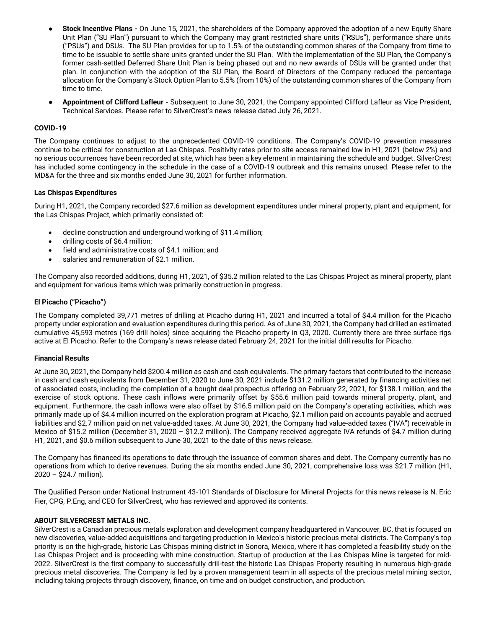- **Stock Incentive Plans -** On June 15, 2021, the shareholders of the Company approved the adoption of a new Equity Share Unit Plan ("SU Plan") pursuant to which the Company may grant restricted share units ("RSUs"), performance share units ("PSUs") and DSUs. The SU Plan provides for up to 1.5% of the outstanding common shares of the Company from time to time to be issuable to settle share units granted under the SU Plan. With the implementation of the SU Plan, the Company's former cash-settled Deferred Share Unit Plan is being phased out and no new awards of DSUs will be granted under that plan. In conjunction with the adoption of the SU Plan, the Board of Directors of the Company reduced the percentage allocation for the Company's Stock Option Plan to 5.5% (from 10%) of the outstanding common shares of the Company from time to time.
- **Appointment of Clifford Lafleur -** Subsequent to June 30, 2021, the Company appointed Clifford Lafleur as Vice President, Technical Services. Please refer to SilverCrest's news release dated July 26, 2021.

# **COVID-19**

The Company continues to adjust to the unprecedented COVID-19 conditions. The Company's COVID-19 prevention measures continue to be critical for construction at Las Chispas. Positivity rates prior to site access remained low in H1, 2021 (below 2%) and no serious occurrences have been recorded at site, which has been a key element in maintaining the schedule and budget. SilverCrest has included some contingency in the schedule in the case of a COVID-19 outbreak and this remains unused. Please refer to the MD&A for the three and six months ended June 30, 2021 for further information.

# **Las Chispas Expenditures**

During H1, 2021, the Company recorded \$27.6 million as development expenditures under mineral property, plant and equipment, for the Las Chispas Project, which primarily consisted of:

- decline construction and underground working of \$11.4 million;
- drilling costs of \$6.4 million;
- field and administrative costs of \$4.1 million; and
- salaries and remuneration of \$2.1 million.

The Company also recorded additions, during H1, 2021, of \$35.2 million related to the Las Chispas Project as mineral property, plant and equipment for various items which was primarily construction in progress.

# **El Picacho ("Picacho")**

The Company completed 39,771 metres of drilling at Picacho during H1, 2021 and incurred a total of \$4.4 million for the Picacho property under exploration and evaluation expenditures during this period. As of June 30, 2021, the Company had drilled an estimated cumulative 45,593 metres (169 drill holes) since acquiring the Picacho property in Q3, 2020. Currently there are three surface rigs active at El Picacho. Refer to the Company's news release dated February 24, 2021 for the initial drill results for Picacho.

# **Financial Results**

At June 30, 2021, the Company held \$200.4 million as cash and cash equivalents. The primary factors that contributed to the increase in cash and cash equivalents from December 31, 2020 to June 30, 2021 include \$131.2 million generated by financing activities net of associated costs, including the completion of a bought deal prospectus offering on February 22, 2021, for \$138.1 million, and the exercise of stock options. These cash inflows were primarily offset by \$55.6 million paid towards mineral property, plant, and equipment. Furthermore, the cash inflows were also offset by \$16.5 million paid on the Company's operating activities, which was primarily made up of \$4.4 million incurred on the exploration program at Picacho, \$2.1 million paid on accounts payable and accrued liabilities and \$2.7 million paid on net value-added taxes. At June 30, 2021, the Company had value-added taxes ("IVA") receivable in Mexico of \$15.2 million (December 31, 2020 – \$12.2 million). The Company received aggregate IVA refunds of \$4.7 million during H1, 2021, and \$0.6 million subsequent to June 30, 2021 to the date of this news release.

The Company has financed its operations to date through the issuance of common shares and debt. The Company currently has no operations from which to derive revenues. During the six months ended June 30, 2021, comprehensive loss was \$21.7 million (H1, 2020 – \$24.7 million).

The Qualified Person under National Instrument 43-101 Standards of Disclosure for Mineral Projects for this news release is N. Eric Fier, CPG, P.Eng, and CEO for SilverCrest, who has reviewed and approved its contents.

# **ABOUT SILVERCREST METALS INC.**

SilverCrest is a Canadian precious metals exploration and development company headquartered in Vancouver, BC, that is focused on new discoveries, value-added acquisitions and targeting production in Mexico's historic precious metal districts. The Company's top priority is on the high-grade, historic Las Chispas mining district in Sonora, Mexico, where it has completed a feasibility study on the Las Chispas Project and is proceeding with mine construction. Startup of production at the Las Chispas Mine is targeted for mid-2022. SilverCrest is the first company to successfully drill-test the historic Las Chispas Property resulting in numerous high-grade precious metal discoveries. The Company is led by a proven management team in all aspects of the precious metal mining sector, including taking projects through discovery, finance, on time and on budget construction, and production.